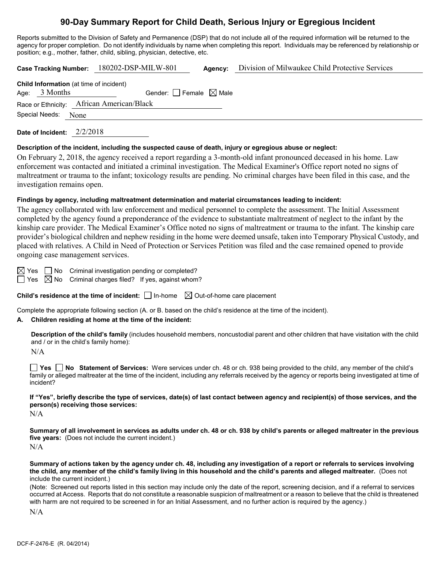# **90-Day Summary Report for Child Death, Serious Injury or Egregious Incident**

Reports submitted to the Division of Safety and Permanence (DSP) that do not include all of the required information will be returned to the agency for proper completion. Do not identify individuals by name when completing this report. Individuals may be referenced by relationship or position; e.g., mother, father, child, sibling, physician, detective, etc.

|                                                | Case Tracking Number: 180202-DSP-MILW-801 | Agency: | Division of Milwaukee Child Protective Services |
|------------------------------------------------|-------------------------------------------|---------|-------------------------------------------------|
| <b>Child Information</b> (at time of incident) |                                           |         |                                                 |
| Age: $3$ Months                                | Gender: Female $\boxtimes$ Male           |         |                                                 |
| Race or Ethnicity: African American/Black      |                                           |         |                                                 |
| Special Needs: None                            |                                           |         |                                                 |
| 2/2/2018<br>Date of Incident:                  |                                           |         |                                                 |

#### **Description of the incident, including the suspected cause of death, injury or egregious abuse or neglect:**

On February 2, 2018, the agency received a report regarding a 3-month-old infant pronounced deceased in his home. Law enforcement was contacted and initiated a criminal investigation. The Medical Examiner's Office report noted no signs of maltreatment or trauma to the infant; toxicology results are pending. No criminal charges have been filed in this case, and the investigation remains open.

# **Findings by agency, including maltreatment determination and material circumstances leading to incident:**

The agency collaborated with law enforcement and medical personnel to complete the assessment. The Initial Assessment completed by the agency found a preponderance of the evidence to substantiate maltreatment of neglect to the infant by the kinship care provider. The Medical Examiner's Office noted no signs of maltreatment or trauma to the infant. The kinship care provider's biological children and nephew residing in the home were deemed unsafe, taken into Temporary Physical Custody, and placed with relatives. A Child in Need of Protection or Services Petition was filed and the case remained opened to provide ongoing case management services.

 $\boxtimes$  Yes  $\Box$  No Criminal investigation pending or completed?  $\Box$  Yes  $\boxtimes$  No Criminal charges filed? If yes, against whom?

**Child's residence at the time of incident:**  $\Box$  In-home  $\Box$  Out-of-home care placement

Complete the appropriate following section (A. or B. based on the child's residence at the time of the incident).

# **A. Children residing at home at the time of the incident:**

**Description of the child's family** (includes household members, noncustodial parent and other children that have visitation with the child and / or in the child's family home):

N/A

**Yes No Statement of Services:** Were services under ch. 48 or ch. 938 being provided to the child, any member of the child's family or alleged maltreater at the time of the incident, including any referrals received by the agency or reports being investigated at time of incident?

**If "Yes", briefly describe the type of services, date(s) of last contact between agency and recipient(s) of those services, and the person(s) receiving those services:**

 $N/A$ 

**Summary of all involvement in services as adults under ch. 48 or ch. 938 by child's parents or alleged maltreater in the previous five years:** (Does not include the current incident.) N/A

**Summary of actions taken by the agency under ch. 48, including any investigation of a report or referrals to services involving the child, any member of the child's family living in this household and the child's parents and alleged maltreater.** (Does not include the current incident.)

(Note: Screened out reports listed in this section may include only the date of the report, screening decision, and if a referral to services occurred at Access. Reports that do not constitute a reasonable suspicion of maltreatment or a reason to believe that the child is threatened with harm are not required to be screened in for an Initial Assessment, and no further action is required by the agency.)

N/A